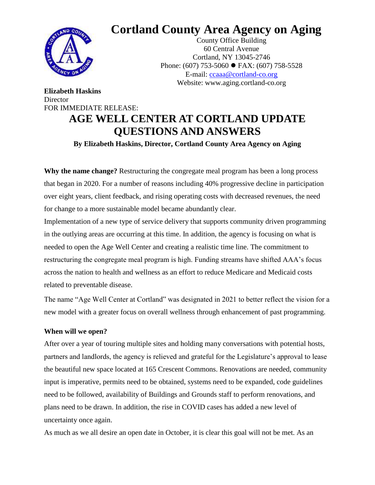

**Elizabeth Haskins**

**Director** 

# **Cortland County Area Agency on Aging**

County Office Building 60 Central Avenue Cortland, NY 13045-2746 Phone: (607) 753-5060 ● FAX: (607) 758-5528 E-mail: [ccaaa@cortland-co.org](mailto:ccaaa@cortland-co.org) Website: www.aging.cortland-co.org

# FOR IMMEDIATE RELEASE: **AGE WELL CENTER AT CORTLAND UPDATE QUESTIONS AND ANSWERS By Elizabeth Haskins, Director, Cortland County Area Agency on Aging**

**Why the name change?** Restructuring the congregate meal program has been a long process that began in 2020. For a number of reasons including 40% progressive decline in participation over eight years, client feedback, and rising operating costs with decreased revenues, the need for change to a more sustainable model became abundantly clear.

Implementation of a new type of service delivery that supports community driven programming in the outlying areas are occurring at this time. In addition, the agency is focusing on what is needed to open the Age Well Center and creating a realistic time line. The commitment to restructuring the congregate meal program is high. Funding streams have shifted AAA's focus across the nation to health and wellness as an effort to reduce Medicare and Medicaid costs related to preventable disease.

The name "Age Well Center at Cortland" was designated in 2021 to better reflect the vision for a new model with a greater focus on overall wellness through enhancement of past programming.

## **When will we open?**

After over a year of touring multiple sites and holding many conversations with potential hosts, partners and landlords, the agency is relieved and grateful for the Legislature's approval to lease the beautiful new space located at 165 Crescent Commons. Renovations are needed, community input is imperative, permits need to be obtained, systems need to be expanded, code guidelines need to be followed, availability of Buildings and Grounds staff to perform renovations, and plans need to be drawn. In addition, the rise in COVID cases has added a new level of uncertainty once again.

As much as we all desire an open date in October, it is clear this goal will not be met. As an